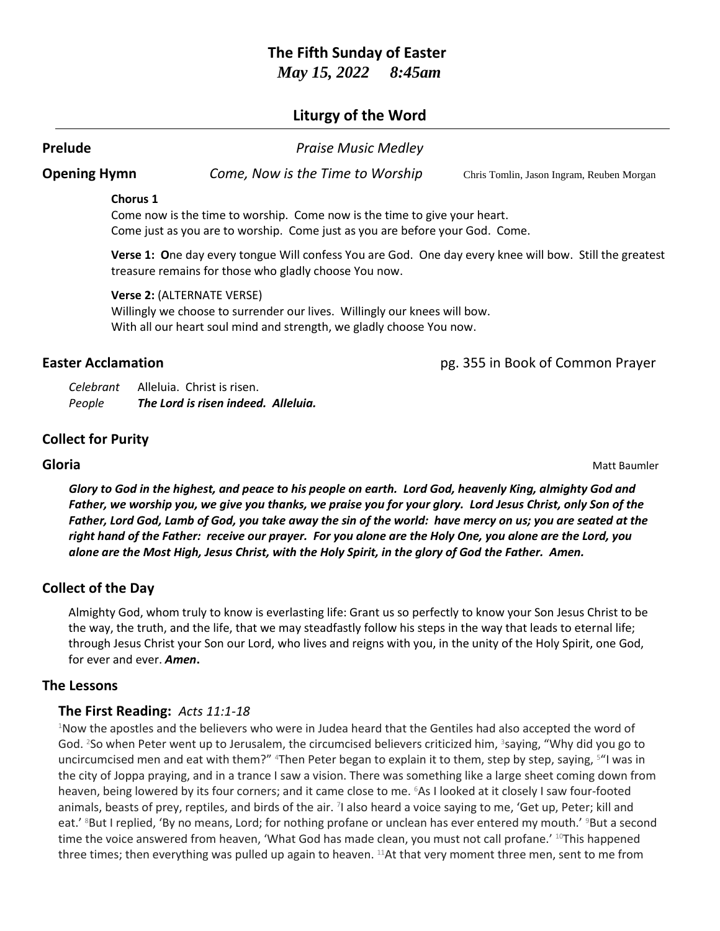# **The Fifth Sunday of Easter** *May 15, 2022 8:45am*

# **Liturgy of the Word**

**Prelude** *Praise Music Medley*

**Opening Hymn** *Come, Now is the Time to Worship* Chris Tomlin, Jason Ingram, Reuben Morgan

### **Chorus 1**

Come now is the time to worship. Come now is the time to give your heart. Come just as you are to worship. Come just as you are before your God. Come.

**Verse 1: O**ne day every tongue Will confess You are God. One day every knee will bow. Still the greatest treasure remains for those who gladly choose You now.

**Verse 2:** (ALTERNATE VERSE)

Willingly we choose to surrender our lives. Willingly our knees will bow. With all our heart soul mind and strength, we gladly choose You now.

**Easter Acclamation** pg. 355 in Book of Common Prayer

*Celebrant* Alleluia. Christ is risen. *People The Lord is risen indeed. Alleluia.*

# **Collect for Purity**

**Gloria** Matt Baumler

*Glory to God in the highest, and peace to his people on earth. Lord God, heavenly King, almighty God and Father, we worship you, we give you thanks, we praise you for your glory. Lord Jesus Christ, only Son of the Father, Lord God, Lamb of God, you take away the sin of the world: have mercy on us; you are seated at the right hand of the Father: receive our prayer. For you alone are the Holy One, you alone are the Lord, you alone are the Most High, Jesus Christ, with the Holy Spirit, in the glory of God the Father. Amen.*

# **Collect of the Day**

Almighty God, whom truly to know is everlasting life: Grant us so perfectly to know your Son Jesus Christ to be the way, the truth, and the life, that we may steadfastly follow his steps in the way that leads to eternal life; through Jesus Christ your Son our Lord, who lives and reigns with you, in the unity of the Holy Spirit, one God, for ever and ever. *Amen***.**

## **The Lessons**

## **The First Reading:** *Acts 11:1-18*

<sup>1</sup>Now the apostles and the believers who were in Judea heard that the Gentiles had also accepted the word of God. <sup>2</sup>So when Peter went up to Jerusalem, the circumcised believers criticized him, <sup>3</sup>saying, "Why did you go to uncircumcised men and eat with them?" <sup>4</sup>Then Peter began to explain it to them, step by step, saying, <sup>s</sup>"I was in the city of Joppa praying, and in a trance I saw a vision. There was something like a large sheet coming down from heaven, being lowered by its four corners; and it came close to me. <sup>6</sup>As I looked at it closely I saw four-footed animals, beasts of prey, reptiles, and birds of the air. <sup>7</sup>I also heard a voice saying to me, 'Get up, Peter; kill and eat.' <sup>8</sup>But I replied, 'By no means, Lord; for nothing profane or unclean has ever entered my mouth.' <sup>9</sup>But a second time the voice answered from heaven, 'What God has made clean, you must not call profane.' <sup>10</sup>This happened three times; then everything was pulled up again to heaven. <sup>11</sup>At that very moment three men, sent to me from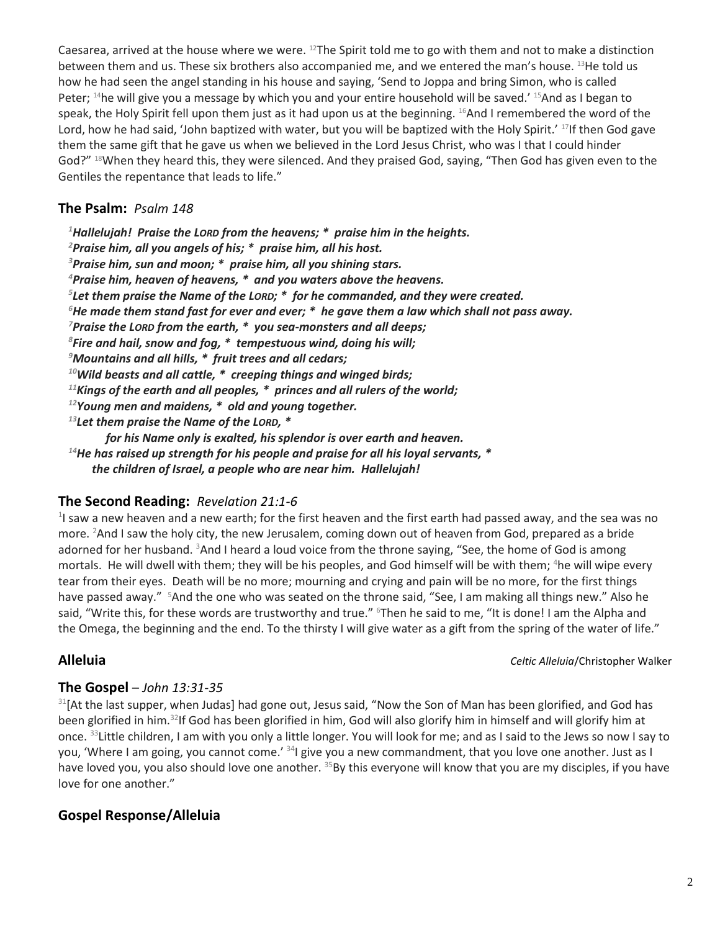Caesarea, arrived at the house where we were.  $12$ The Spirit told me to go with them and not to make a distinction between them and us. These six brothers also accompanied me, and we entered the man's house. <sup>13</sup>He told us how he had seen the angel standing in his house and saying, 'Send to Joppa and bring Simon, who is called Peter; <sup>14</sup>he will give you a message by which you and your entire household will be saved.' <sup>15</sup>And as I began to speak, the Holy Spirit fell upon them just as it had upon us at the beginning. <sup>16</sup>And I remembered the word of the Lord, how he had said, 'John baptized with water, but you will be baptized with the Holy Spirit.' <sup>17</sup>If then God gave them the same gift that he gave us when we believed in the Lord Jesus Christ, who was I that I could hinder God?" <sup>18</sup>When they heard this, they were silenced. And they praised God, saying, "Then God has given even to the Gentiles the repentance that leads to life."

## **The Psalm:** *Psalm 148*

*Hallelujah! Praise the LORD from the heavens; \* praise him in the heights. Praise him, all you angels of his; \* praise him, all his host. Praise him, sun and moon; \* praise him, all you shining stars. Praise him, heaven of heavens, \* and you waters above the heavens. Let them praise the Name of the LORD; \* for he commanded, and they were created. He made them stand fast for ever and ever; \* he gave them a law which shall not pass away. Praise the LORD from the earth, \* you sea-monsters and all deeps; Fire and hail, snow and fog, \* tempestuous wind, doing his will; Mountains and all hills, \* fruit trees and all cedars; Wild beasts and all cattle, \* creeping things and winged birds; Kings of the earth and all peoples, \* princes and all rulers of the world; Young men and maidens, \* old and young together. Let them praise the Name of the LORD, \* for his Name only is exalted, his splendor is over earth and heaven.* 

*<sup>14</sup>He has raised up strength for his people and praise for all his loyal servants, \* the children of Israel, a people who are near him. Hallelujah!*

# **The Second Reading:** *Revelation 21:1-6*

 $^{1}$ I saw a new heaven and a new earth; for the first heaven and the first earth had passed away, and the sea was no more. <sup>2</sup>And I saw the holy city, the new Jerusalem, coming down out of heaven from God, prepared as a bride adorned for her husband.  $3$ And I heard a loud voice from the throne saying, "See, the home of God is among mortals. He will dwell with them; they will be his peoples, and God himself will be with them; <sup>4</sup>he will wipe every tear from their eyes. Death will be no more; mourning and crying and pain will be no more, for the first things have passed away." <sup>5</sup>And the one who was seated on the throne said, "See, I am making all things new." Also he said, "Write this, for these words are trustworthy and true." <sup>6</sup>Then he said to me, "It is done! I am the Alpha and the Omega, the beginning and the end. To the thirsty I will give water as a gift from the spring of the water of life."

**Alleluia** *Celtic Alleluia*/Christopher Walker

# **The Gospel** – *John 13:31-35*

 $31$ [At the last supper, when Judas] had gone out, Jesus said, "Now the Son of Man has been glorified, and God has been glorified in him.<sup>32</sup>If God has been glorified in him, God will also glorify him in himself and will glorify him at once. <sup>33</sup>Little children, I am with you only a little longer. You will look for me; and as I said to the Jews so now I say to you, 'Where I am going, you cannot come.' <sup>34</sup>I give you a new commandment, that you love one another. Just as I have loved you, you also should love one another. <sup>35</sup>By this everyone will know that you are my disciples, if you have love for one another."

# **Gospel Response/Alleluia**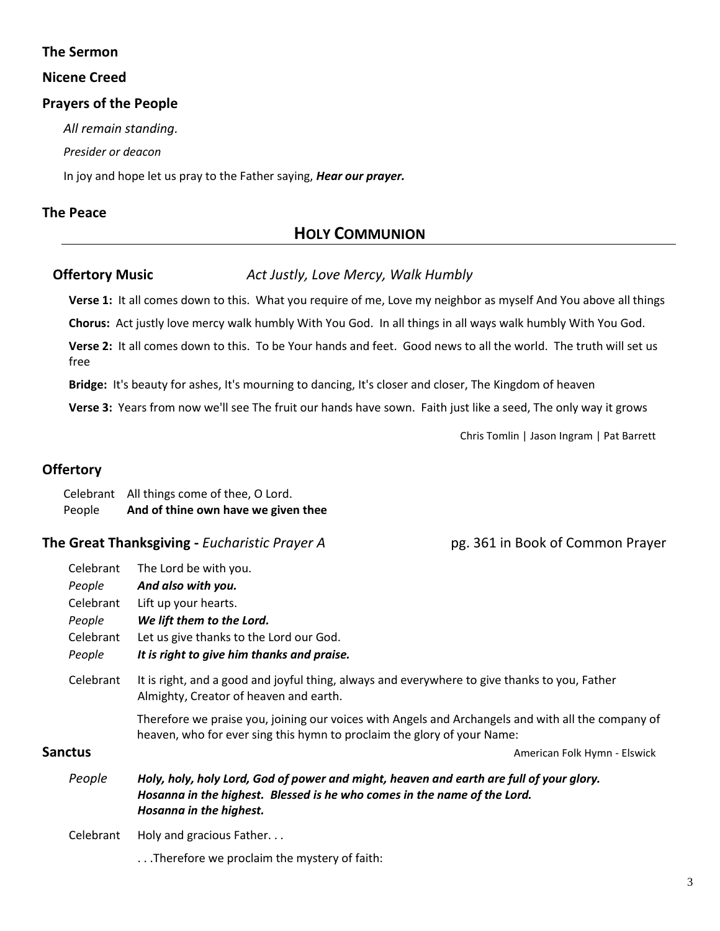## **The Sermon**

### **Nicene Creed**

## **Prayers of the People**

*All remain standing.*

*Presider or deacon*

In joy and hope let us pray to the Father saying, *Hear our prayer.*

## **The Peace**

# **HOLY COMMUNION**

## **Offertory Music** *Act Justly, Love Mercy, Walk Humbly*

**Verse 1:** It all comes down to this. What you require of me, Love my neighbor as myself And You above all things

**Chorus:** Act justly love mercy walk humbly With You God. In all things in all ways walk humbly With You God.

**Verse 2:** It all comes down to this. To be Your hands and feet. Good news to all the world. The truth will set us free

**Bridge:** It's beauty for ashes, It's mourning to dancing, It's closer and closer, The Kingdom of heaven

**Verse 3:** Years from now we'll see The fruit our hands have sown. Faith just like a seed, The only way it grows

Chris Tomlin | Jason Ingram | Pat Barrett

## **Offertory**

Celebrant All things come of thee, O Lord. People **And of thine own have we given thee**

**The Great Thanksgiving -** *Eucharistic Prayer A* pg. 361 in Book of Common Prayer

| Celebrant      | The Lord be with you.                                                                                                                                                                          |  |
|----------------|------------------------------------------------------------------------------------------------------------------------------------------------------------------------------------------------|--|
| People         | And also with you.                                                                                                                                                                             |  |
| Celebrant      | Lift up your hearts.                                                                                                                                                                           |  |
| People         | We lift them to the Lord.                                                                                                                                                                      |  |
| Celebrant      | Let us give thanks to the Lord our God.                                                                                                                                                        |  |
| People         | It is right to give him thanks and praise.                                                                                                                                                     |  |
| Celebrant      | It is right, and a good and joyful thing, always and everywhere to give thanks to you, Father<br>Almighty, Creator of heaven and earth.                                                        |  |
|                | Therefore we praise you, joining our voices with Angels and Archangels and with all the company of<br>heaven, who for ever sing this hymn to proclaim the glory of your Name:                  |  |
| <b>Sanctus</b> | American Folk Hymn - Elswick                                                                                                                                                                   |  |
| People         | Holy, holy, holy Lord, God of power and might, heaven and earth are full of your glory.<br>Hosanna in the highest. Blessed is he who comes in the name of the Lord.<br>Hosanna in the highest. |  |
| Celebrant      | Holy and gracious Father                                                                                                                                                                       |  |
|                | Therefore we proclaim the mystery of faith:                                                                                                                                                    |  |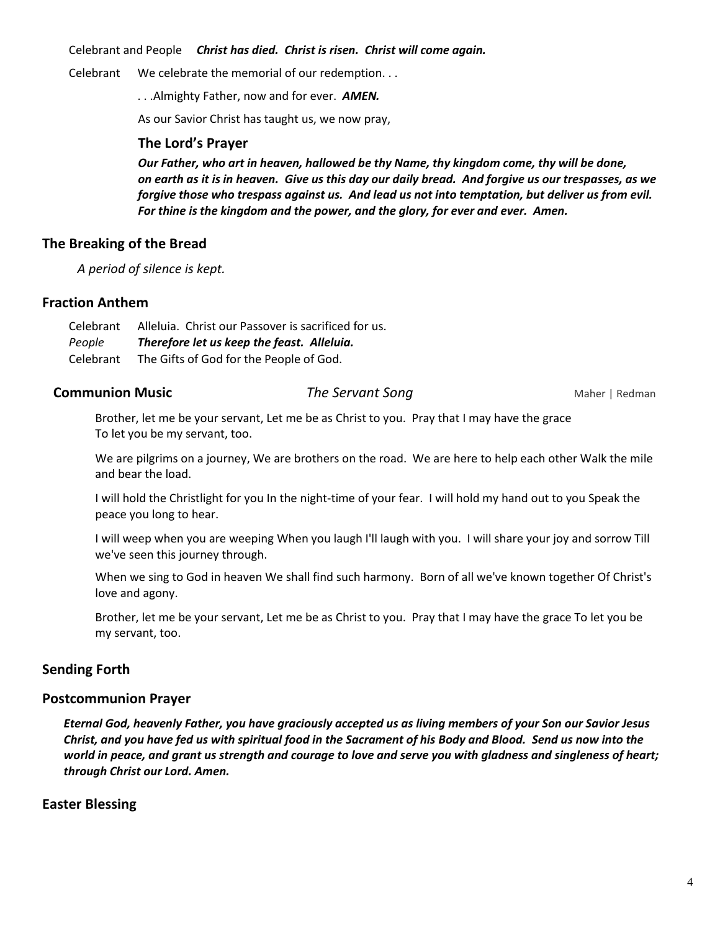Celebrant and People *Christ has died. Christ is risen. Christ will come again.*

Celebrant We celebrate the memorial of our redemption. . .

. . .Almighty Father, now and for ever. *AMEN.*

As our Savior Christ has taught us, we now pray,

### **The Lord's Prayer**

*Our Father, who art in heaven, hallowed be thy Name, thy kingdom come, thy will be done, on earth as it is in heaven. Give us this day our daily bread. And forgive us our trespasses, as we forgive those who trespass against us. And lead us not into temptation, but deliver us from evil. For thine is the kingdom and the power, and the glory, for ever and ever. Amen.*

## **The Breaking of the Bread**

*A period of silence is kept.*

## **Fraction Anthem**

| Celebrant | Alleluia. Christ our Passover is sacrificed for us. |
|-----------|-----------------------------------------------------|
| People    | Therefore let us keep the feast. Alleluia.          |
| Celebrant | The Gifts of God for the People of God.             |

## **Communion Music Communion Music** *The Servant Song* **<b>Maher | Redman**

Brother, let me be your servant, Let me be as Christ to you. Pray that I may have the grace To let you be my servant, too.

We are pilgrims on a journey, We are brothers on the road. We are here to help each other Walk the mile and bear the load.

I will hold the Christlight for you In the night-time of your fear. I will hold my hand out to you Speak the peace you long to hear.

I will weep when you are weeping When you laugh I'll laugh with you. I will share your joy and sorrow Till we've seen this journey through.

When we sing to God in heaven We shall find such harmony. Born of all we've known together Of Christ's love and agony.

Brother, let me be your servant, Let me be as Christ to you. Pray that I may have the grace To let you be my servant, too.

# **Sending Forth**

## **Postcommunion Prayer**

*Eternal God, heavenly Father, you have graciously accepted us as living members of your Son our Savior Jesus Christ, and you have fed us with spiritual food in the Sacrament of his Body and Blood. Send us now into the world in peace, and grant us strength and courage to love and serve you with gladness and singleness of heart; through Christ our Lord. Amen.*

## **Easter Blessing**